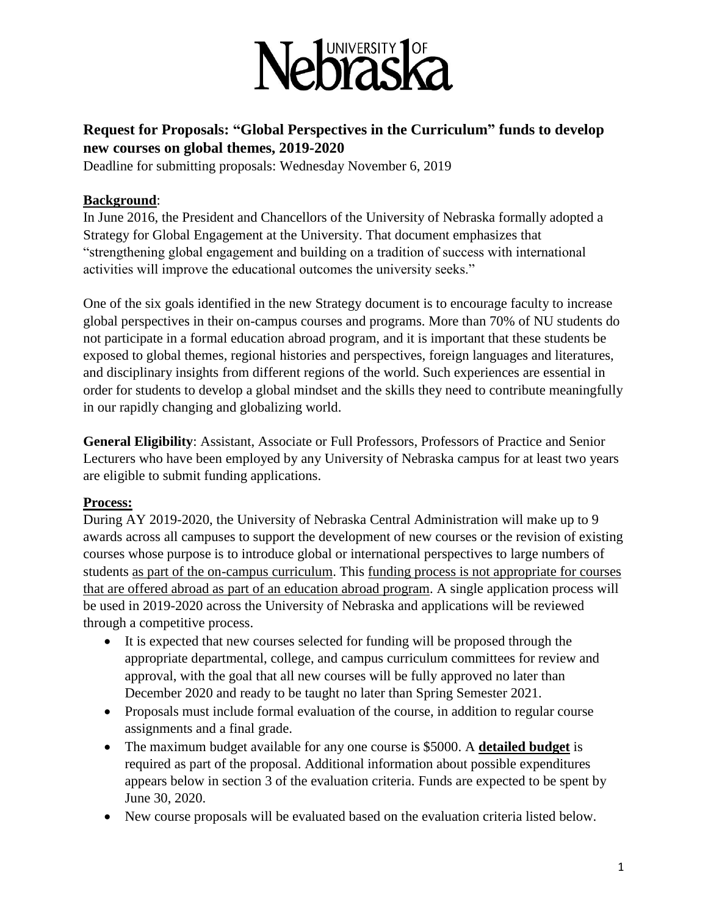

## **Request for Proposals: "Global Perspectives in the Curriculum" funds to develop new courses on global themes, 2019-2020**

Deadline for submitting proposals: Wednesday November 6, 2019

## **Background**:

In June 2016, the President and Chancellors of the University of Nebraska formally adopted a Strategy for Global Engagement at the University. That document emphasizes that "strengthening global engagement and building on a tradition of success with international activities will improve the educational outcomes the university seeks."

One of the six goals identified in the new Strategy document is to encourage faculty to increase global perspectives in their on-campus courses and programs. More than 70% of NU students do not participate in a formal education abroad program, and it is important that these students be exposed to global themes, regional histories and perspectives, foreign languages and literatures, and disciplinary insights from different regions of the world. Such experiences are essential in order for students to develop a global mindset and the skills they need to contribute meaningfully in our rapidly changing and globalizing world.

**General Eligibility**: Assistant, Associate or Full Professors, Professors of Practice and Senior Lecturers who have been employed by any University of Nebraska campus for at least two years are eligible to submit funding applications.

## **Process:**

During AY 2019-2020, the University of Nebraska Central Administration will make up to 9 awards across all campuses to support the development of new courses or the revision of existing courses whose purpose is to introduce global or international perspectives to large numbers of students as part of the on-campus curriculum. This funding process is not appropriate for courses that are offered abroad as part of an education abroad program. A single application process will be used in 2019-2020 across the University of Nebraska and applications will be reviewed through a competitive process.

- It is expected that new courses selected for funding will be proposed through the appropriate departmental, college, and campus curriculum committees for review and approval, with the goal that all new courses will be fully approved no later than December 2020 and ready to be taught no later than Spring Semester 2021.
- Proposals must include formal evaluation of the course, in addition to regular course assignments and a final grade.
- The maximum budget available for any one course is \$5000. A **detailed budget** is required as part of the proposal. Additional information about possible expenditures appears below in section 3 of the evaluation criteria. Funds are expected to be spent by June 30, 2020.
- New course proposals will be evaluated based on the evaluation criteria listed below.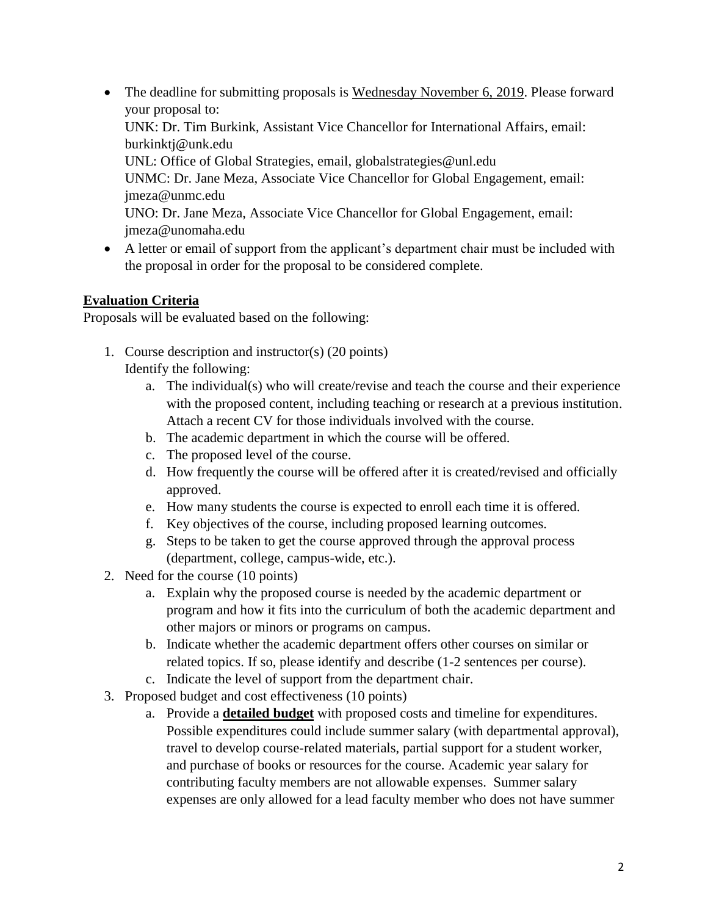- The deadline for submitting proposals is Wednesday November 6, 2019. Please forward your proposal to: UNK: Dr. Tim Burkink, Assistant Vice Chancellor for International Affairs, email: burkinktj@unk.edu UNL: Office of Global Strategies, email, globalstrategies@unl.edu UNMC: Dr. Jane Meza, Associate Vice Chancellor for Global Engagement, email: jmeza@unmc.edu UNO: Dr. Jane Meza, Associate Vice Chancellor for Global Engagement, email: jmeza@unomaha.edu
- A letter or email of support from the applicant's department chair must be included with the proposal in order for the proposal to be considered complete.

## **Evaluation Criteria**

Proposals will be evaluated based on the following:

- 1. Course description and instructor(s) (20 points) Identify the following:
	- a. The individual(s) who will create/revise and teach the course and their experience with the proposed content, including teaching or research at a previous institution. Attach a recent CV for those individuals involved with the course.
	- b. The academic department in which the course will be offered.
	- c. The proposed level of the course.
	- d. How frequently the course will be offered after it is created/revised and officially approved.
	- e. How many students the course is expected to enroll each time it is offered.
	- f. Key objectives of the course, including proposed learning outcomes.
	- g. Steps to be taken to get the course approved through the approval process (department, college, campus-wide, etc.).
- 2. Need for the course (10 points)
	- a. Explain why the proposed course is needed by the academic department or program and how it fits into the curriculum of both the academic department and other majors or minors or programs on campus.
	- b. Indicate whether the academic department offers other courses on similar or related topics. If so, please identify and describe (1-2 sentences per course).
	- c. Indicate the level of support from the department chair.
- 3. Proposed budget and cost effectiveness (10 points)
	- a. Provide a **detailed budget** with proposed costs and timeline for expenditures. Possible expenditures could include summer salary (with departmental approval), travel to develop course-related materials, partial support for a student worker, and purchase of books or resources for the course. Academic year salary for contributing faculty members are not allowable expenses. Summer salary expenses are only allowed for a lead faculty member who does not have summer